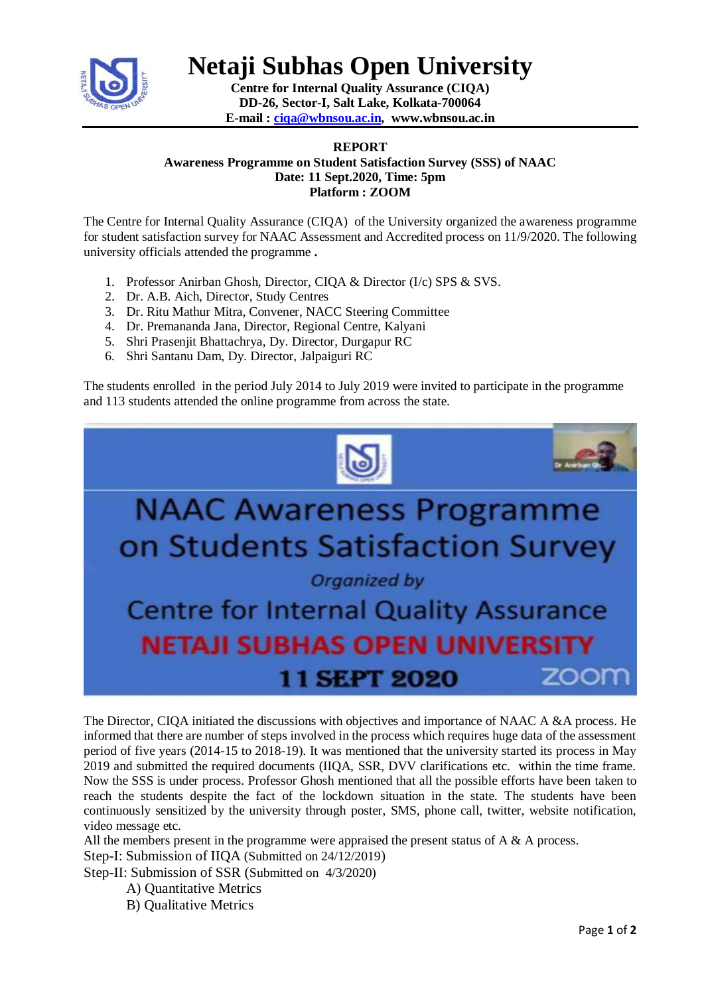

**Netaji Subhas Open University**

**Centre for Internal Quality Assurance (CIQA) DD-26, Sector-I, Salt Lake, Kolkata-700064 E-mail : [ciqa@wbnsou.ac.in,](mailto:ciqa@wbnsou.ac.in) [www.wbnsou.ac.in](http://www.wbnsou.ac.in/)**

## **REPORT**

**Awareness Programme on Student Satisfaction Survey (SSS) of NAAC Date: 11 Sept.2020, Time: 5pm Platform : ZOOM**

The Centre for Internal Quality Assurance (CIQA) of the University organized the awareness programme for student satisfaction survey for NAAC Assessment and Accredited process on 11/9/2020. The following university officials attended the programme **.**

- 1. Professor Anirban Ghosh, Director, CIQA & Director (I/c) SPS & SVS.
- 2. Dr. A.B. Aich, Director, Study Centres
- 3. Dr. Ritu Mathur Mitra, Convener, NACC Steering Committee
- 4. Dr. Premananda Jana, Director, Regional Centre, Kalyani
- 5. Shri Prasenjit Bhattachrya, Dy. Director, Durgapur RC
- 6. Shri Santanu Dam, Dy. Director, Jalpaiguri RC

The students enrolled in the period July 2014 to July 2019 were invited to participate in the programme and 113 students attended the online programme from across the state.



The Director, CIQA initiated the discussions with objectives and importance of NAAC A &A process. He informed that there are number of steps involved in the process which requires huge data of the assessment period of five years (2014-15 to 2018-19). It was mentioned that the university started its process in May 2019 and submitted the required documents (IIQA, SSR, DVV clarifications etc. within the time frame. Now the SSS is under process. Professor Ghosh mentioned that all the possible efforts have been taken to reach the students despite the fact of the lockdown situation in the state. The students have been continuously sensitized by the university through poster, SMS, phone call, twitter, website notification, video message etc.

All the members present in the programme were appraised the present status of  $A \& A$  process.

Step-I: Submission of IIQA (Submitted on 24/12/2019)

Step-II: Submission of SSR (Submitted on 4/3/2020)

- A) Quantitative Metrics
- B) Qualitative Metrics